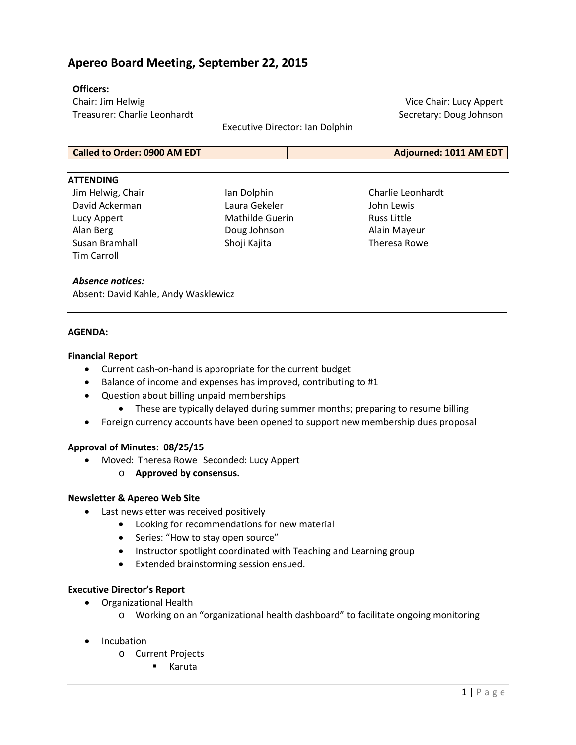# **Apereo Board Meeting, September 22, 2015**

#### **Officers:**

Chair: Jim Helwig Treasurer: Charlie Leonhardt

Executive Director: Ian Dolphin

Vice Chair: Lucy Appert Secretary: Doug Johnson

| <b>Called to Order: 0900 AM EDT</b> | Adjourned: 1011 AM EDT |
|-------------------------------------|------------------------|

#### **ATTENDING**

Jim Helwig, Chair David Ackerman Lucy Appert Alan Berg Susan Bramhall Tim Carroll

Ian Dolphin Laura Gekeler Mathilde Guerin Doug Johnson Shoji Kajita

Charlie Leonhardt John Lewis Russ Little Alain Mayeur Theresa Rowe

#### *Absence notices:*

Absent: David Kahle, Andy Wasklewicz

#### **AGENDA:**

#### **Financial Report**

- Current cash-on-hand is appropriate for the current budget
- Balance of income and expenses has improved, contributing to #1
- Question about billing unpaid memberships
	- These are typically delayed during summer months; preparing to resume billing
- Foreign currency accounts have been opened to support new membership dues proposal

### **Approval of Minutes: 08/25/15**

- Moved: Theresa Rowe Seconded: Lucy Appert
	- o **Approved by consensus.**

### **Newsletter & Apereo Web Site**

- Last newsletter was received positively
	- Looking for recommendations for new material
		- Series: "How to stay open source"
		- Instructor spotlight coordinated with Teaching and Learning group
	- Extended brainstorming session ensued.

#### **Executive Director's Report**

- Organizational Health
	- o Working on an "organizational health dashboard" to facilitate ongoing monitoring
- **Incubation** 
	- o Current Projects
		- Karuta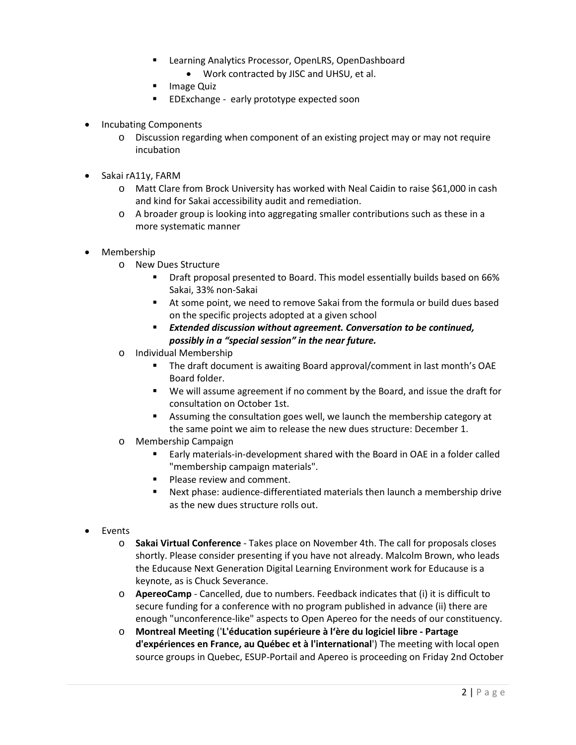- **E** Learning Analytics Processor, OpenLRS, OpenDashboard
	- Work contracted by JISC and UHSU, et al.
- **Image Quiz**
- **EDExchange early prototype expected soon**
- Incubating Components
	- o Discussion regarding when component of an existing project may or may not require incubation
- Sakai rA11y, FARM
	- o Matt Clare from Brock University has worked with Neal Caidin to raise \$61,000 in cash and kind for Sakai accessibility audit and remediation.
	- o A broader group is looking into aggregating smaller contributions such as these in a more systematic manner
- Membership
	- o New Dues Structure
		- Draft proposal presented to Board. This model essentially builds based on 66% Sakai, 33% non-Sakai
		- At some point, we need to remove Sakai from the formula or build dues based on the specific projects adopted at a given school
		- *Extended discussion without agreement. Conversation to be continued, possibly in a "special session" in the near future.*
	- o Individual Membership
		- The draft document is awaiting Board approval/comment in last month's OAE Board folder.
		- We will assume agreement if no comment by the Board, and issue the draft for consultation on October 1st.
		- Assuming the consultation goes well, we launch the membership category at the same point we aim to release the new dues structure: December 1.
	- o Membership Campaign
		- Early materials-in-development shared with the Board in OAE in a folder called "membership campaign materials".
		- **Please review and comment.**
		- Next phase: audience-differentiated materials then launch a membership drive as the new dues structure rolls out.
- Events
	- o **Sakai Virtual Conference** Takes place on November 4th. The call for proposals closes shortly. Please consider presenting if you have not already. Malcolm Brown, who leads the Educause Next Generation Digital Learning Environment work for Educause is a keynote, as is Chuck Severance.
	- o **ApereoCamp** Cancelled, due to numbers. Feedback indicates that (i) it is difficult to secure funding for a conference with no program published in advance (ii) there are enough "unconference-like" aspects to Open Apereo for the needs of our constituency.
	- o **Montreal Meeting** ('**L'éducation supérieure à l'ère du logiciel libre - Partage d'expériences en France, au Québec et à l'international**') The meeting with local open source groups in Quebec, ESUP-Portail and Apereo is proceeding on Friday 2nd October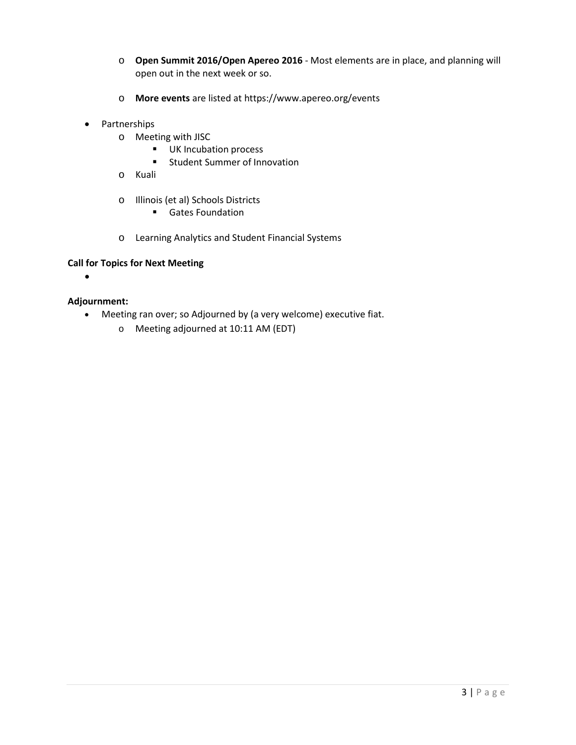- o **Open Summit 2016/Open Apereo 2016** Most elements are in place, and planning will open out in the next week or so.
- o **More events** are listed at <https://www.apereo.org/events>
- Partnerships
	- o Meeting with JISC<br>■ UK Incuba
		- UK Incubation process
		- **EXECUTE: Student Summer of Innovation**
	- o Kuali
	- o Illinois (et al) Schools Districts
		- **Gates Foundation**
	- o Learning Analytics and Student Financial Systems

### **Call for Topics for Next Meeting**

•

## **Adjournment:**

- Meeting ran over; so Adjourned by (a very welcome) executive fiat.
	- o Meeting adjourned at 10:11 AM (EDT)